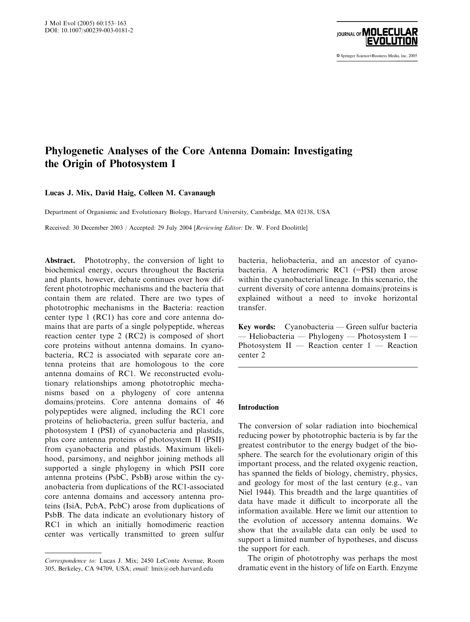

© Springer Science+Business Media, Inc. 2005

# Phylogenetic Analyses of the Core Antenna Domain: Investigating the Origin of Photosystem I

# Lucas J. Mix, David Haig, Colleen M. Cavanaugh

Department of Organismic and Evolutionary Biology, Harvard University, Cambridge, MA 02138, USA

Received: 30 December 2003 / Accepted: 29 July 2004 [Reviewing Editor: Dr. W. Ford Doolittle]

Abstract. Phototrophy, the conversion of light to biochemical energy, occurs throughout the Bacteria and plants, however, debate continues over how different phototrophic mechanisms and the bacteria that contain them are related. There are two types of phototrophic mechanisms in the Bacteria: reaction center type 1(RC1) has core and core antenna domains that are parts of a single polypeptide, whereas reaction center type 2 (RC2) is composed of short core proteins without antenna domains. In cyanobacteria, RC2 is associated with separate core antenna proteins that are homologous to the core antenna domains of RC1. We reconstructed evolutionary relationships among phototrophic mechanisms based on a phylogeny of core antenna domains/proteins. Core antenna domains of 46 polypeptides were aligned, including the RC1 core proteins of heliobacteria, green sulfur bacteria, and photosystem I (PSI) of cyanobacteria and plastids, plus core antenna proteins of photosystem II (PSII) from cyanobacteria and plastids. Maximum likelihood, parsimony, and neighbor joining methods all supported a single phylogeny in which PSII core antenna proteins (PsbC, PsbB) arose within the cyanobacteria from duplications of the RC1-associated core antenna domains and accessory antenna proteins (IsiA, PcbA, PcbC) arose from duplications of PsbB. The data indicate an evolutionary history of RC1 in which an initially homodimeric reaction center was vertically transmitted to green sulfur

bacteria, heliobacteria, and an ancestor of cyanobacteria. A heterodimeric  $RC1$  (=PSI) then arose within the cyanobacterial lineage. In this scenario, the current diversity of core antenna domains/proteins is explained without a need to invoke horizontal transfer.

Key words: Cyanobacteria — Green sulfur bacteria — Heliobacteria — Phylogeny — Photosystem I — Photosystem II — Reaction center 1— Reaction center 2

# Introduction

The conversion of solar radiation into biochemical reducing power by phototrophic bacteria is by far the greatest contributor to the energy budget of the biosphere. The search for the evolutionary origin of this important process, and the related oxygenic reaction, has spanned the fields of biology, chemistry, physics, and geology for most of the last century (e.g., van Niel 1944). This breadth and the large quantities of data have made it difficult to incorporate all the information available. Here we limit our attention to the evolution of accessory antenna domains. We show that the available data can only be used to support a limited number of hypotheses, and discuss the support for each.

The origin of phototrophy was perhaps the most dramatic event in the history of life on Earth. Enzyme

Correspondence to: Lucas J. Mix; 2450 LeConte Avenue, Room 305, Berkeley, CA 94709, USA; email: lmix@oeb.harvard.edu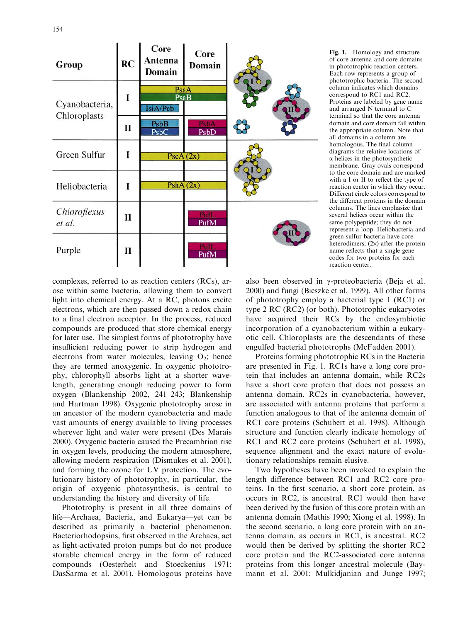

Fig. 1. Homology and structure of core antenna and core domains in phototrophic reaction centers. Each row represents a group of phototrophic bacteria. The second column indicates which domains correspond to RC1 and RC2. Proteins are labeled by gene name and arranged N terminal to C terminal so that the core antenna domain and core domain fall within the appropriate column. Note that all domains in a column are homologous. The final column diagrams the relative locations of a-helices in the photosynthetic membrane. Gray ovals correspond to the core domain and are marked with a I or II to reflect the type of reaction center in which they occur. Different circle colors correspond to the different proteins in the domain columns. The lines emphasize that several helices occur within the same polypeptide; they do not represent a loop. Heliobacteria and green sulfur bacteria have core heterodimers;  $(2\times)$  after the protein name reflects that a single gene codes for two proteins for each reaction center.

complexes, referred to as reaction centers (RCs), arose within some bacteria, allowing them to convert light into chemical energy. At a RC, photons excite electrons, which are then passed down a redox chain to a final electron acceptor. In the process, reduced compounds are produced that store chemical energy for later use. The simplest forms of phototrophy have insufficient reducing power to strip hydrogen and electrons from water molecules, leaving  $O_2$ ; hence they are termed anoxygenic. In oxygenic phototrophy, chlorophyll absorbs light at a shorter wavelength, generating enough reducing power to form oxygen (Blankenship 2002, 241–243; Blankenship and Hartman 1998). Oxygenic phototrophy arose in an ancestor of the modern cyanobacteria and made vast amounts of energy available to living processes wherever light and water were present (Des Marais 2000). Oxygenic bacteria caused the Precambrian rise in oxygen levels, producing the modern atmosphere, allowing modern respiration (Dismukes et al. 2001), and forming the ozone for UV protection. The evolutionary history of phototrophy, in particular, the origin of oxygenic photosynthesis, is central to understanding the history and diversity of life.

Phototrophy is present in all three domains of life—Archaea, Bacteria, and Eukarya—yet can be described as primarily a bacterial phenomenon. Bacteriorhodopsins, first observed in the Archaea, act as light-activated proton pumps but do not produce storable chemical energy in the form of reduced compounds (Oesterhelt and Stoeckenius 1971; DasSarma et al. 2001). Homologous proteins have

also been observed in  $\gamma$ -proteobacteria (Beja et al. 2000) and fungi (Bieszke et al. 1999). All other forms of phototrophy employ a bacterial type 1(RC1) or type 2 RC (RC2) (or both). Phototrophic eukaryotes have acquired their RCs by the endosymbiotic incorporation of a cyanobacterium within a eukaryotic cell. Chloroplasts are the descendants of these engulfed bacterial phototrophs (McFadden 2001).

Proteins forming phototrophic RCs in the Bacteria are presented in Fig. 1. RC1s have a long core protein that includes an antenna domain, while RC2s have a short core protein that does not possess an antenna domain. RC2s in cyanobacteria, however, are associated with antenna proteins that perform a function analogous to that of the antenna domain of RC1 core proteins (Schubert et al. 1998). Although structure and function clearly indicate homology of RC1 and RC2 core proteins (Schubert et al. 1998), sequence alignment and the exact nature of evolutionary relationships remain elusive.

Two hypotheses have been invoked to explain the length difference between RC1 and RC2 core proteins. In the first scenario, a short core protein, as occurs in RC2, is ancestral. RC1would then have been derived by the fusion of this core protein with an antenna domain (Mathis 1990; Xiong et al. 1998). In the second scenario, a long core protein with an antenna domain, as occurs in RC1, is ancestral. RC2 would then be derived by splitting the shorter RC2 core protein and the RC2-associated core antenna proteins from this longer ancestral molecule (Baymann et al. 2001; Mulkidjanian and Junge 1997;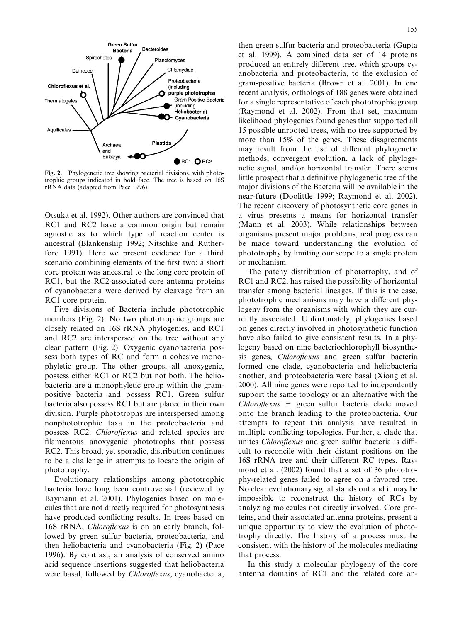

Fig. 2. Phylogenetic tree showing bacterial divisions, with phototrophic groups indicated in bold face. The tree is based on 16S rRNA data (adapted from Pace 1996).

Otsuka et al. 1992). Other authors are convinced that RC1 and RC2 have a common origin but remain agnostic as to which type of reaction center is ancestral (Blankenship 1992; Nitschke and Rutherford 1991). Here we present evidence for a third scenario combining elements of the first two: a short core protein was ancestral to the long core protein of RC1, but the RC2-associated core antenna proteins of cyanobacteria were derived by cleavage from an RC1 core protein.

Five divisions of Bacteria include phototrophic members (Fig. 2). No two phototrophic groups are closely related on 16S rRNA phylogenies, and RC1 and RC2 are interspersed on the tree without any clear pattern (Fig. 2). Oxygenic cyanobacteria possess both types of RC and form a cohesive monophyletic group. The other groups, all anoxygenic, possess either RC1or RC2 but not both. The heliobacteria are a monophyletic group within the grampositive bacteria and possess RC1. Green sulfur bacteria also possess RC1but are placed in their own division. Purple phototrophs are interspersed among nonphototrophic taxa in the proteobacteria and possess RC2. Chloroflexus and related species are filamentous anoxygenic phototrophs that possess RC2. This broad, yet sporadic, distribution continues to be a challenge in attempts to locate the origin of phototrophy.

Evolutionary relationships among phototrophic bacteria have long been controversial (reviewed by Baymann et al. 2001). Phylogenies based on molecules that are not directly required for photosynthesis have produced conflicting results. In trees based on 16S rRNA, Chloroflexus is on an early branch, followed by green sulfur bacteria, proteobacteria, and then heliobacteria and cyanobacteria (Fig. 2) (Pace 1996). By contrast, an analysis of conserved amino acid sequence insertions suggested that heliobacteria were basal, followed by *Chloroflexus*, cyanobacteria, then green sulfur bacteria and proteobacteria (Gupta et al. 1999). A combined data set of 14 proteins produced an entirely different tree, which groups cyanobacteria and proteobacteria, to the exclusion of gram-positive bacteria (Brown et al. 2001). In one recent analysis, orthologs of 188 genes were obtained for a single representative of each phototrophic group (Raymond et al. 2002). From that set, maximum likelihood phylogenies found genes that supported all 15 possible unrooted trees, with no tree supported by more than 15% of the genes. These disagreements may result from the use of different phylogenetic methods, convergent evolution, a lack of phylogenetic signal, and/or horizontal transfer. There seems little prospect that a definitive phylogenetic tree of the major divisions of the Bacteria will be available in the near-future (Doolittle 1999; Raymond et al. 2002). The recent discovery of photosynthetic core genes in a virus presents a means for horizontal transfer (Mann et al. 2003). While relationships between organisms present major problems, real progress can be made toward understanding the evolution of phototrophy by limiting our scope to a single protein or mechanism.

The patchy distribution of phototrophy, and of RC1and RC2, has raised the possibility of horizontal transfer among bacterial lineages. If this is the case, phototrophic mechanisms may have a different phylogeny from the organisms with which they are currently associated. Unfortunately, phylogenies based on genes directly involved in photosynthetic function have also failed to give consistent results. In a phylogeny based on nine bacteriochlorophyll biosynthesis genes, Chloroflexus and green sulfur bacteria formed one clade, cyanobacteria and heliobacteria another, and proteobacteria were basal (Xiong et al. 2000). All nine genes were reported to independently support the same topology or an alternative with the  $Chlor of lexus$  + green sulfur bacteria clade moved onto the branch leading to the proteobacteria. Our attempts to repeat this analysis have resulted in multiple conflicting topologies. Further, a clade that unites *Chloroflexus* and green sulfur bacteria is difficult to reconcile with their distant positions on the 16S rRNA tree and their different RC types. Raymond et al. (2002) found that a set of 36 phototrophy-related genes failed to agree on a favored tree. No clear evolutionary signal stands out and it may be impossible to reconstruct the history of RCs by analyzing molecules not directly involved. Core proteins, and their associated antenna proteins, present a unique opportunity to view the evolution of phototrophy directly. The history of a process must be consistent with the history of the molecules mediating that process.

In this study a molecular phylogeny of the core antenna domains of RC1and the related core an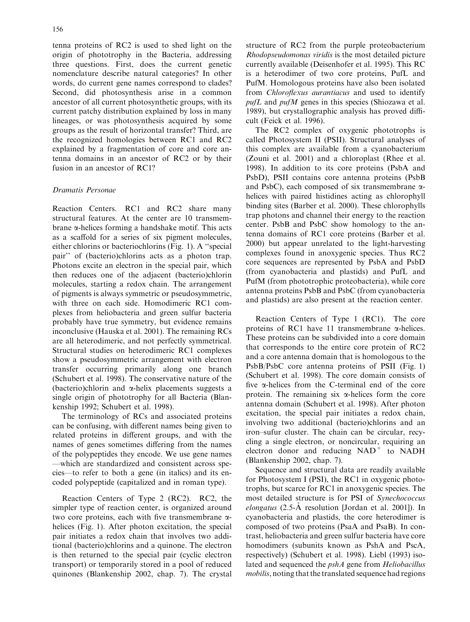tenna proteins of RC2 is used to shed light on the origin of phototrophy in the Bacteria, addressing three questions. First, does the current genetic nomenclature describe natural categories? In other words, do current gene names correspond to clades? Second, did photosynthesis arise in a common ancestor of all current photosynthetic groups, with its current patchy distribution explained by loss in many lineages, or was photosynthesis acquired by some groups as the result of horizontal transfer? Third, are the recognized homologies between RC1and RC2 explained by a fragmentation of core and core antenna domains in an ancestor of RC2 or by their fusion in an ancestor of RC1?

# Dramatis Personae

Reaction Centers. RC1 and RC2 share many structural features. At the center are 10 transmembrane  $\alpha$ -helices forming a handshake motif. This acts as a scaffold for a series of six pigment molecules, either chlorins or bacteriochlorins (Fig. 1). A ''special pair'' of (bacterio)chlorins acts as a photon trap. Photons excite an electron in the special pair, which then reduces one of the adjacent (bacterio)chlorin molecules, starting a redox chain. The arrangement of pigments is always symmetric or pseudosymmetric, with three on each side. Homodimeric RC1 complexes from heliobacteria and green sulfur bacteria probably have true symmetry, but evidence remains inconclusive (Hauska et al. 2001). The remaining RCs are all heterodimeric, and not perfectly symmetrical. Structural studies on heterodimeric RC1 complexes show a pseudosymmetric arrangement with electron transfer occurring primarily along one branch (Schubert et al. 1998). The conservative nature of the (bacterio)chlorin and  $\alpha$ -helix placements suggests a single origin of phototrophy for all Bacteria (Blankenship 1992; Schubert et al. 1998).

The terminology of RCs and associated proteins can be confusing, with different names being given to related proteins in different groups, and with the names of genes sometimes differing from the names of the polypeptides they encode. We use gene names —which are standardized and consistent across species—to refer to both a gene (in italics) and its encoded polypeptide (capitalized and in roman type).

Reaction Centers of Type 2 (RC2). RC2, the simpler type of reaction center, is organized around two core proteins, each with five transmembrane  $\alpha$ helices (Fig. 1). After photon excitation, the special pair initiates a redox chain that involves two additional (bacterio)chlorins and a quinone. The electron is then returned to the special pair (cyclic electron transport) or temporarily stored in a pool of reduced quinones (Blankenship 2002, chap. 7). The crystal structure of RC2 from the purple proteobacterium Rhodopseudomonas viridis is the most detailed picture currently available (Deisenhofer et al. 1995). This RC is a heterodimer of two core proteins, PufL and PufM. Homologous proteins have also been isolated from Chloroflexus aurantiacus and used to identify  $pufL$  and  $pufM$  genes in this species (Shiozawa et al. 1989), but crystallographic analysis has proved difficult (Feick et al. 1996).

The RC2 complex of oxygenic phototrophs is called Photosystem II (PSII). Structural analyses of this complex are available from a cyanobacterium (Zouni et al. 2001) and a chloroplast (Rhee et al. 1998). In addition to its core proteins (PsbA and PsbD), PSII contains core antenna proteins (PsbB and PsbC), each composed of six transmembrane  $\alpha$ helices with paired histidines acting as chlorophyll binding sites (Barber et al. 2000). These chlorophylls trap photons and channel their energy to the reaction center. PsbB and PsbC show homology to the antenna domains of RC1 core proteins (Barber et al. 2000) but appear unrelated to the light-harvesting complexes found in anoxygenic species. Thus RC2 core sequences are represented by PsbA and PsbD (from cyanobacteria and plastids) and PufL and PufM (from phototrophic proteobacteria), while core antenna proteins PsbB and PsbC (from cyanobacteria and plastids) are also present at the reaction center.

Reaction Centers of Type 1 (RC1). The core proteins of RC1 have 11 transmembrane  $\alpha$ -helices. These proteins can be subdivided into a core domain that corresponds to the entire core protein of RC2 and a core antenna domain that is homologous to the PsbB/PsbC core antenna proteins of PSII (Fig. 1) (Schubert et al. 1998). The core domain consists of five a-helices from the C-terminal end of the core protein. The remaining six  $\alpha$ -helices form the core antenna domain (Schubert et al. 1998). After photon excitation, the special pair initiates a redox chain, involving two additional (bacterio)chlorins and an iron–sufur cluster. The chain can be circular, recycling a single electron, or noncircular, requiring an electron donor and reducing  $NAD<sup>+</sup>$  to NADH (Blankenship 2002, chap. 7).

Sequence and structural data are readily available for Photosystem I (PSI), the RC1 in oxygenic phototrophs, but scarce for RC1 in anoxygenic species. The most detailed structure is for PSI of Synechococcus elongatus  $(2.5-\text{Å}$  resolution [Jordan et al. 2001]). In cyanobacteria and plastids, the core heterodimer is composed of two proteins (PsaA and PsaB). In contrast, heliobacteria and green sulfur bacteria have core homodimers (subunits known as PshA and PscA, respectively) (Schubert et al. 1998). Liebl (1993) isolated and sequenced the *pshA* gene from *Heliobacillus* mobilis, noting that the translated sequence had regions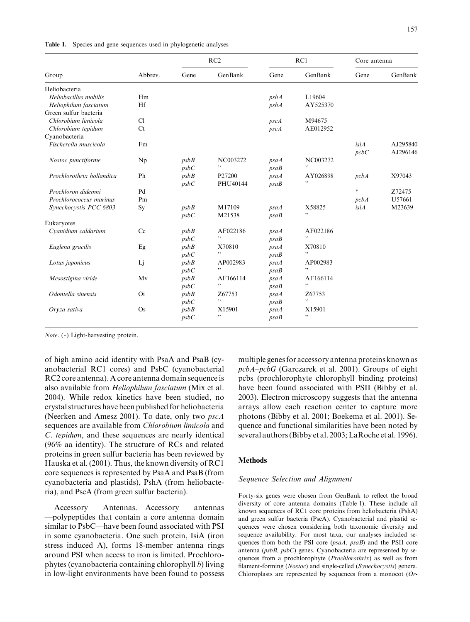|  |  | Table 1. Species and gene sequences used in phylogenetic analyses |  |  |  |
|--|--|-------------------------------------------------------------------|--|--|--|
|--|--|-------------------------------------------------------------------|--|--|--|

|                           |           | RC2  |          | RC1  |          | Core antenna |          |
|---------------------------|-----------|------|----------|------|----------|--------------|----------|
| Group                     | Abbrev.   | Gene | GenBank  | Gene | GenBank  | Gene         | GenBank  |
| Heliobacteria             |           |      |          |      |          |              |          |
| Heliobacillus mobilis     | Hm        |      |          | pshA | L19604   |              |          |
| Heliophilum fasciatum     | Hf        |      |          | pshA | AY525370 |              |          |
| Green sulfur bacteria     |           |      |          |      |          |              |          |
| Chlorobium limicola       | Cl        |      |          | pscA | M94675   |              |          |
| Chlorobium tepidum        | Ct        |      |          | pscA | AE012952 |              |          |
| Cyanobacteria             |           |      |          |      |          |              |          |
| Fischerella muscicola     | Fm        |      |          |      |          | isiA         | AJ295840 |
|                           |           |      |          |      |          | pcbC         | AJ296146 |
| Nostoc punctiforme        | Np        | psbB | NC003272 | psaA | NC003272 |              |          |
|                           |           | psbC | ,,       | psaB | ,,       |              |          |
| Prochlorothrix hollandica | Ph        | psbB | P27200   | psaA | AY026898 | pcbA         | X97043   |
|                           |           | psbC | PHU40144 | psaB | , ,      |              |          |
| Prochloron didemni        | Pd        |      |          |      |          | $\ast$       | Z72475   |
| Prochlorococcus marinus   | Pm        |      |          |      |          | pcbA         | U57661   |
| Synechocystis PCC 6803    | Sy        | psbB | M17109   | psaA | X58825   | <i>isiA</i>  | M23639   |
|                           |           | psbC | M21538   | psaB | ,,       |              |          |
| Eukaryotes                |           |      |          |      |          |              |          |
| Cyanidium caldarium       | Cc        | psbB | AF022186 | psaA | AF022186 |              |          |
|                           |           | psbC | ,,       | psaB | , ,      |              |          |
| Euglena gracilis          | Eg        | psbB | X70810   | psaA | X70810   |              |          |
|                           |           | psbC | ,,       | psaB | ,,       |              |          |
| Lotus japonicus           | Lj        | psbB | AP002983 | psaA | AP002983 |              |          |
|                           |           | psbC | , ,      | psaB | ,,       |              |          |
| Mesostigma viride         | Mv        | psbB | AF166114 | psaA | AF166114 |              |          |
|                           |           | psbC | , ,      | psaB | , ,      |              |          |
| Odontella sinensis        | <b>Oi</b> | psbB | Z67753   | psaA | Z67753   |              |          |
|                           |           | psbC | ,,       | psaB | , ,      |              |          |
| Oryza sativa              | $\rm Os$  | psbB | X15901   | psaA | X15901   |              |          |
|                           |           | psbC | , ,      | psaB | , ,      |              |          |

*Note.*  $(*)$  Light-harvesting protein.

of high amino acid identity with PsaA and PsaB (cyanobacterial RC1 cores) and PsbC (cyanobacterial RC2 core antenna). A core antenna domain sequence is also available from Heliophilum fasciatum (Mix et al. 2004). While redox kinetics have been studied, no crystal structures have been published for heliobacteria (Neerken and Amesz 2001). To date, only two pscA sequences are available from Chlorobium limicola and C. tepidum, and these sequences are nearly identical (96% aa identity). The structure of RCs and related proteins in green sulfur bacteria has been reviewed by Hauska et al. (2001). Thus, the known diversity of RC1 core sequences is represented by PsaA and PsaB (from cyanobacteria and plastids), PshA (from heliobacteria), and PscA (from green sulfur bacteria).

Accessory Antennas. Accessory antennas —polypeptides that contain a core antenna domain similar to PsbC—have been found associated with PSI in some cyanobacteria. One such protein, IsiA (iron stress induced A), forms 18-member antenna rings around PSI when access to iron is limited. Prochlorophytes (cyanobacteria containing chlorophyll b) living in low-light environments have been found to possess multiple genes for accessory antenna proteins known as pcbA–pcbG (Garczarek et al. 2001). Groups of eight pcbs (prochlorophyte chlorophyll binding proteins) have been found associated with PSII (Bibby et al. 2003). Electron microscopy suggests that the antenna arrays allow each reaction center to capture more photons (Bibby et al. 2001; Boekema et al. 2001). Sequence and functional similarities have been noted by several authors (Bibby et al. 2003; LaRoche et al. 1996).

# **Methods**

#### Sequence Selection and Alignment

Forty-six genes were chosen from GenBank to reflect the broad diversity of core antenna domains (Table 1). These include all known sequences of RC1 core proteins from heliobacteria (PshA) and green sulfur bacteria (PscA). Cyanobacterial and plastid sequences were chosen considering both taxonomic diversity and sequence availability. For most taxa, our analyses included sequences from both the PSI core (psaA, psaB) and the PSII core antenna (psbB, psbC) genes. Cyanobacteria are represented by sequences from a prochlorophyte (Prochlorothrix) as well as from filament-forming (Nostoc) and single-celled (Synechocystis) genera. Chloroplasts are represented by sequences from a monocot (Or-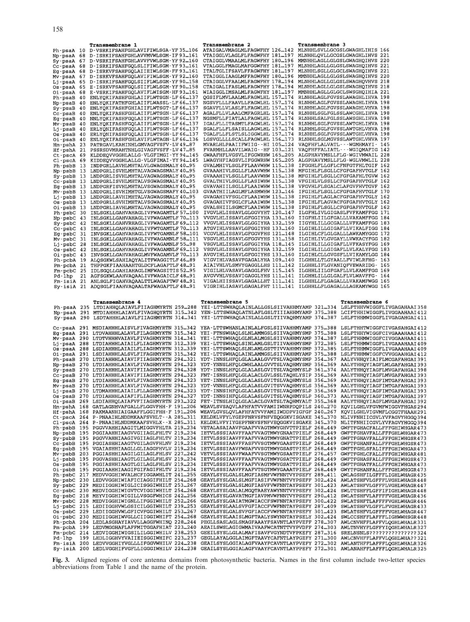|                          | <b>Transmembrane 1</b>                                                                         | <b>Transmembrane 2</b>                                                                     | <b>Transmembrane 3</b>                                                                                                                           |
|--------------------------|------------------------------------------------------------------------------------------------|--------------------------------------------------------------------------------------------|--------------------------------------------------------------------------------------------------------------------------------------------------|
| Ph–psaA 10               | D-VSRKIFSAHFGHLAVIFIWLSGA-YF35106                                                              | ATAIGALVMAGLMLFAGWFHY 126.142                                                              | MLNHHLSVLLGCGSLGWAGHLIHIS 166                                                                                                                    |
| Np-psaA 68               | D-ISRKIFSAHFGHLAVVMVWLSGM-IF93161                                                              | VTAIGGLVLAGLFLFAGWFHY 181…197                                                              | MLNHHLQVLLGCGSLGWAGHLIHVS 221                                                                                                                    |
| Sy-psaA                  | 67 D-VSRKIFSAHFGHLAVVFVWLSGM-YF92160                                                           | CTAIGGLVMAALMLFAGWFHY 180196                                                               | MMNHHLAGLLGLGSLGWAGHQIHVS 220                                                                                                                    |
|                          | Cc-psaA 68 D-ISRKIFSAHFGQLSLIFIWLSGM-YF93161                                                   | VTALGGLFMAGLMAFGGWFHY 181197                                                               | MLNHHLAGLLGLGSLSWAGHOIHVS 221                                                                                                                    |
|                          | Eg-psaA 68 D-ISRKVFSAHFGQLAIIEIWLSGM-FF93161                                                   | ITALTGLIFSAVLFFAGWFHY 181197                                                               | MLNHHLSGLLGLGCLSWAGHQIHVS 221                                                                                                                    |
|                          | Mv–psaA 67 D–ISRKVFSAHFGQLAVIFIWLSGM–YF92…160<br>Lj-psaA 65 D-ISRKIFSAHFGQLSIIFLWLSGM-YF90.158 | TTAIGGLIAAGLMFFAGWFHY 180…196<br>CTAIGGLVFAALMLFAGWFHY 178.194                             | MMNHHLAGLLGLGSLSWAGHQIHVS 220<br>MLNHHLAGLLGLGSLSWAGHQVHVS 218                                                                                   |
|                          | Os-psaA 65 E-ISRKVFSAHFGQLSIIFLWLSGM-YF90158                                                   | CTAIGALIFASLMLFAGWFHY 178_194                                                              | MLNHHLAGLLGLGSLSWAGHQIHVS 218                                                                                                                    |
|                          | Oi-psaA 68 E-VSRKIFSAHFGQLAVIFLWISGM-HF93161                                                   | WIAIGGLIMSALMLFAGWFHY 181…197                                                              | MMNHHLAGLLGLGCLSWSGHQIHIA 221                                                                                                                    |
|                          | Ph-psaB 40 ENLYQKIFASHFGHLAIIFLWTSGN-LF66137                                                   | QGSIFLMVLAALMLFAGWLHL 157174                                                               | RLNHHLAGLFGVSSLAWAGHLIHVA 198                                                                                                                    |
|                          | Np-psaB 40 ENLYQKIFATHFGHLAIIFLWASSL-LF66137                                                   | NGSVFLLLFAAVLLFAGWLHL 157174                                                               | RLNHHLAGLFGVSSLAWAGHLIHVA 198                                                                                                                    |
|                          | Sy-psaB 40 ENLYQKIFASHFGHIAIIFLWTSGT-LF66-137                                                  | SGAVFLLVLASLFLFAGWLHL 157174                                                               | RLNHHLAGLFGVSSLAWAGHLVHVA 198                                                                                                                    |
|                          | Cc-psaB 40 ENLYQKIFASHFGHLAIIFLWTSGN-LF66.137                                                  | AGALFLLVLAALCMFAGRLHL 157174                                                               | RLNHHLSGLFGLSSLAWCGHLIHVA 198                                                                                                                    |
|                          | Eq-psaB 40 NNLYQKIFASHFGQLAIIFLWTSGN-LF66.137                                                  | NGSMFLLFIATLALFAGWLHL 157.174<br>IGALFLLITASMTLFAGWLHL 157174                              | RLNHHLSALFGLSSLAWSGHLIHVA 198                                                                                                                    |
|                          | Mv-psaB 40 ENLYQKIFASHFGQLAIIFLWTSGN-LF66137<br>Lj-psaB 40 ERLYQNIFASHFGQLAIIFLWTSGN-LF66137   | SGALFLLFLSAISLLAGWLHL 157174                                                               | RLNHHLSGLFGVSSLAWTGHLIHVA 198<br>RLNHHLSGLFGVSSLAWTGHLVHVA 198                                                                                   |
| Os-psaB 40               | ERLYQNIFASHFGQLAIIFLWTSGN-LF66137                                                              | TGALFLLFLSTLSLIGGWLHL 157174                                                               | RLNHHLSGLFGVSSLAWTGHLVHVA 198                                                                                                                    |
| Oi-psaB 40               | ENLYQKIFASHFGHLAVIFLWTAGN-LF66136                                                              | LGSVGLLLLSCALLFAGWLHL 156.173                                                              | RLNHHLSGLMGVSSLAWTGHLVHVA 197                                                                                                                    |
| Hm–pshA 23               | PATRGAVLKAHINHLGMVAGFVSFV-LV 4987                                                              | MVARLHLPAAIIFWIIG--HI 105124                                                               | VAQFHFLALVATL---WGMHMAYI- 145                                                                                                                    |
| Hf-pshA 21               | PSSRSDVMRAHTNHLGIVAGFVSFF-LV 47.85                                                             | FVARMHLLAAVILWAIG--HF 103.121                                                              | VAQFHFFALIATL---WGIQMAFIG 142                                                                                                                    |
|                          | Ct-pscA 69 KLDDEQVVGGHLALLG-VLGFIMGI-YY94.145                                                  | GWAAFHFLVGSVLIFGGWRHW 165205                                                               | ALGPHAVYMSLLFLG-WGIVMWAIL 228                                                                                                                    |
|                          | Cl-pscA 69 KIDDEQVVGGHLALLG-VLGFIMAI-YY94.145<br>Ph-psbB 13 INDPGRLLAVHLMHTALVLGWAGSMALY 4095  | LWAGYHFIAGSVLIFGGWRHW 165205<br>GVALMHIVLSGLFFLAAVWHW 115138                               | ALGPHAVYMSLLFLG-WGLVMWLIL 228<br>IFGGHLFLLGFLCFNFGTFHLTGIF 162                                                                                   |
| Np–psbB 13               | LNDPGRLISVHLMHTALVAGWAGSMALY 4095                                                              | GVAAAHIVLSGLLFLAAVWHW 115138                                                               | MFGIHLFLSGLLCFGFGAFHVTGLF 162                                                                                                                    |
|                          | Sy-psbB 13 LNDPGRLISVHLMHTALVAGWAGSMALY 40.95                                                  | GVAAAHIVLSGLLFLAAVWHW 115138                                                               | MFGIHLFLSGLLCFGFGAFHLTGVW 162                                                                                                                    |
|                          | Cc-psbB 13 LNDPGRLISVHLMHTALVSGWAGSMALY 40.95                                                  | GVALTHIVLSGLLFLASIWHW 115138                                                               | VFGIHLVLSSLLCFGFGAFHVTGLF 162                                                                                                                    |
| Eq–psbB 13               | LNDPGRFISVHLMHTALVSGWAGSMALY 4095                                                              | GVAVAHIILSGLLFLAAIWHW 115138                                                               | VFGVHLFLSGALCLAFGVFHVTGVF 162                                                                                                                    |
|                          | Mv-psbB 13 LNDPGRLISVHIMHTGLVSGWAGSMAFY 40.103                                                 | GVAATHIILAGLMFLASMWHW 123146                                                               | IFGIHLFLSGLLCFGFGAFHVTGLF 170                                                                                                                    |
| Lj-psbB 13               | LNDPGRLLAVHIMHTALVAGWAGSMALY 40.95                                                             | GVAGAHIVFSGLCFLAAIWHW 115138<br>GVAGAHIVFSGLCFLAAIWHW 115.138                              | IFGIHLFLAGLACFGFGAFHVTGLY 162                                                                                                                    |
|                          | Os-psbB 13 LNDPGRLLSVHIMHTALVSGWAGSMALY 40.95<br>Oi-psbB 13 LNDPGRLIAVHLMHTALVAGWAGSMALY 4095  | GVALSHIILSGMCFLAAIWHW 115.138                                                              | IFGIHLFLAGVACFGFGAFHVTGLY 162<br>IFGIHLFLSGLLCFGFGAFHVTGLF 162                                                                                   |
|                          | Ph-psbC 30 INLSGKLLGAHVAHAGLIVFWAGAMTLF 57100                                                  | IVGVLHLISSAVLGLGGVYHT 120147                                                               | ILGFHLIVLGIGASLFVFKAMFFGG 171                                                                                                                    |
|                          | Np-psbC 43 INLSGKLLGAHVAHAGLIVFWAGAMTLF70113                                                   | VVGVLHLISSAVLGFGGIYHA 133…160                                                              | IIGFHLIILGFGALLLVAKAMFFGG 184                                                                                                                    |
|                          | Sy-psbC 42 INLSGKLLGAHVRHAGLIVFWAGAMTLF 69.112                                                 | VVGVLHLISSAVLGLGGIYHA 132159                                                               | IIGYHLILLGCGALLLVFKAMFFGG 183                                                                                                                    |
| Cc-psbC 43               | INLSGKLLGAHVAHAGLIVFWTGAMTLF70113                                                              | ATGVIHLVSSAVLGFGGIYHS 133160                                                               | ILGIHLILLGIGAFLLVIKALFIGG 184                                                                                                                    |
| Eg–psbC 31               | INVSGKLLGAHVAHAGLIVFWTGAMNLF 58101                                                             | VCGVLHLISSAVLGFGGVFHS 121148                                                               | ILGIHLCFLGLGALLLAWKAMYGGG 172                                                                                                                    |
| Mv-psbC 31               | INLSGKLLGAHVAHAGLIVFWAGAMNLF 58111                                                             | VSGVLHLISSAVLGFGGVYHS 131158                                                               | ILGIHLIVLGVGAYLLVWKACYFGG 182                                                                                                                    |
| Lj-psbC 28<br>Os-psbC 42 | INLSGKLLGAHVAHAGLIVFWAGAMNLF 5598<br>INLSGKLLGAHVAHAGLIVFWAGAMNLF 69.112                       | VSGVLHLISSAVLGFGGIYHA 118…145<br>VSGVLHLISSAVLGFGGIYHA 132159                              | ILGIHLILLGIGAFLLVFKASYFGG 169<br>ILGIHLILLGIGAFLLVLKALYFGG 183                                                                                   |
|                          | Oi-psbC 43 INVSGKLLGAHVAHAGLMVFWAGAMVLF70113                                                   | AVGVIHLISSAVLGFGGIYHS 133160                                                               | ILGIHLCLLGVGSFLLVIKAMYLGG 184                                                                                                                    |
|                          | Ph-pcbA 19 ALQSGKWLSAHIAQYALITFWAGGITLF4689                                                    | VIGVIHLVASAVFGAGALYHA 109…140                                                              | ILGHHLLTLGYAALLFVIWLRFHG- 163                                                                                                                    |
|                          | Pm-pcbA 21 THPPGKFIAAHAAHTGLDCFLAGAFTLF 48.91                                                  | AIAIVHLVLSMVYGAGGLLHS 111142                                                               | ILGHHLIFLGVANIQFVEWARIDG- 165                                                                                                                    |
|                          | Fm-pcbC 25 IDLSGQLLGAHIAHAGLIMFWAGSITIS 5295                                                   | VIGILHLVASAVLGAGGLFHV 115145                                                               | ILGHHLIILGFGAFLLVLKAMFFGG 169                                                                                                                    |
| Pd-lhp                   | 21 AGFSGKWLAAHVAQAALIVFWAGAICLF 4891                                                           | AVGVVHLVSSAVIGAGGLYHS 111141                                                               | ILGHHLILLGLGALFLVLWAVFFG- 164                                                                                                                    |
|                          | Fm-isiA 21 ANLSGLFIGAHVAQAALTTLWAGAFTWF4891<br>Sy-isiA 21 ADQSGLFIAAHVAQAALTAFWAGAFTLF48.91    | VIGALHIISSAVLGAGALLHT 111141                                                               | ILGHHLLFLGAGALLLVAKAMFWGG 165<br>VIGRIHLIASAVLGAGALFHT 111141 ILGHHLLFLGAGALLLAGKAMYWGG 165                                                      |
|                          |                                                                                                |                                                                                            |                                                                                                                                                  |
|                          |                                                                                                |                                                                                            |                                                                                                                                                  |
|                          |                                                                                                |                                                                                            |                                                                                                                                                  |
|                          | <b>Transmembrane 4</b>                                                                         | <b>Transmembrane 5</b>                                                                     | <b>Transmembrane 6</b>                                                                                                                           |
|                          |                                                                                                |                                                                                            | Ph-psaA 235 LTDIAHHQLAIAVLFIIAGHMYRTN 259…288 YEI-LTTSWHAQLAINLALLGSLSIIVAHHMYAMP 321…334 LSLFTHHVWIGGFLIVGAGAHAAI358                            |
|                          |                                                                                                |                                                                                            | Np-psaA 291 MTDIAHHHLAIAVLFIVAGHQYRTN 315342 YEN-LTTSWHAQLATNLAFLGSLTIIIAHHMYAMP 375388 LCIFTHHIWIGGFLIVGGAAHAAI412                              |
|                          |                                                                                                |                                                                                            | Sy-psaA 290 LSDTAHHHLAIAVLFIIAGHMYRTN 314…341 YEI-LTTSWHAQLAINLALLGSLTIIVAQHMYAMP 374…387 LSLFTHHMWIGGFLIVGAGAHGAI411                            |
|                          | Cc-psaA 291 MSDIAHHHLAISVLFIVAGHMYRTN 315342                                                   | YEA-LTTSWHANLAINLALFGSLSIIVAHHMYAMP 375388                                                 | LSLFTHHTWIGGFCIVGASAHGAI 412                                                                                                                     |
|                          | Eg–psaA 291 LTDVAHHHLALAVLFILAGHMYKTN 315…342                                                  | YEI-FTNSWHAQLSLNLAMMGSLSIIVAQHMYSMP 375388                                                 | LSLFTHHYWIGGFCIVGAAAHAAI412                                                                                                                      |
|                          | Mv–psaA 290 LTDTVHHHVAIAVLFIVAGHMYRTN 314…341                                                  | YEI-LTTSWHAQLGLNLALMGSLSIIVAHHMYAMP 374387                                                 | LSLFTHHMWIGGFCIVGGAAHAAI 411                                                                                                                     |
|                          | Lj-psaA 288 LTDIAHHHLAIAILFLIAGHMYRTN 312339                                                   | YEI-LTTSWHAQLSINLAMLGSLTIIVAHHMYSMP 372385                                                 | LSLFTHHMWIGGFLIVGAAAHAAI409                                                                                                                      |
|                          | Os-psaA 288 LSDIAHHHLAIAILFLIAGHMYRTN 312339                                                   | YEI-LTTSWHAQLSLNLAMLGSTTIVVAHHMYSMP 372385                                                 | LSLFTHHMWIGGFLIVGAAAHAAI409                                                                                                                      |
|                          | Oi-psaA 291 LSDIAHHHLALSVLFIFAGHMYRTN 315342                                                   | YEI-LTTSWHAQLAINLAMMGSLSIIVAHHMYAMP 375388                                                 | LSLFTHHMWIGGFCVVGGAAHGAI 412                                                                                                                     |
|                          | Ph-psaB 270 LTDIAHHHLAIAVIFIIAGHMYKTN 294321<br>Np-psaB 270 LTDIAHHHLAIAVLFIVAGHMYRTN 294.323  | YDT-INNSLHFQLGLALAALGVVTSLVAQHMYSMP 354367<br>YDT-YNNSLHFQLGWHLAALGVVTSLVAQHMYSMP 356369   | AALYVHHQYIAIFLMCGAFAHGAI391<br>AALYTHHQYIAGFLMLGAFAHGAI393                                                                                       |
|                          | Sy-psaB 270 LTDIAHHHLAIAVIFIIAGHMYRTN 294.328                                                  | YDT-INNSLHFQLGLALASLGVITSLVAQHMYSLP 361.374                                                | AALYTHHQYIAGFLMVGAFAHGAI398                                                                                                                      |
|                          | Cc-psaB 270 LTDIAHHHLAIAVIFIIAGHMYRTN 294323                                                   | FNT-ISNSLHFQLGLALACLGVLSSLTAQHLYSIP 356369                                                 | AALYTHHQYIAGFLMVGAFAHGAI393                                                                                                                      |
|                          | Eg-psaB 270 LTDIAHHHLAIAVLFIVAGHMYRTN 294323                                                   | YET-INNSLHFQLGLALASLGVITSLVAQHMYSLS 356.369                                                | AALYTHHQYIAGFIMTGAFAHGAI 393                                                                                                                     |
|                          | Mv-psaB 270 LTDIAHHHLAIAVLFIVAGHMYRTN 294.323                                                  |                                                                                            | YDT-VNNSLHFQLGLALASLGVITSVVAQHMYSLS 356369 AALYTHHQYIAGFIMTGAFAHGAI 393                                                                          |
|                          | Lj-psaB 270 LTDMAHHHLAIAILFLLAGHMYRTN 294.323                                                  |                                                                                            | YDT-INNSIHFQLGLALASLGVITSLVAQHMYSLP 356369 AALYTHHQYIAGFIMTGAFAHGAI393                                                                           |
|                          | Os-psaB 270 LTDIAHHHLAIAFIFLIAGHMYRTN 294…327<br>Oi-psaB 269 LSDIAHHQLAIAFVFIIAGHMYRTN 293322  | YDT–INNSIHFQLGLALASLGVITSLVAQHMYSLP 360…373<br>FET-ITNSLHIQLGLALACLGVATSLTAQHMYALT 355368  | AALYTHHQYIAGFIMTGAFAHGAI397<br>AALYTHHQYIAGFLMVGAFAHGAI 392                                                                                      |
|                          | Hm-pshA 168 GATLAGNHVAFGALLFLGGVFHH-F 191.206                                                  | WEAVLSVSAOVLAFHFATVVFAMIIWNRPDOPILS 240.270                                                | KQVILGHLVFGVMFWIGGVFHGAS294                                                                                                                      |
|                          | Hf-pshA 168 PAKMAANHIAIGAAFFLGGIFHH-F 191206                                                   | WEAVLGVSLOVLAFHFATVVFAMIIWDDPVIGFGF 240267                                                 | KQVILGHLVIGVMFLCGGTFHAAH291                                                                                                                      |
|                          | Ct-pscA 264 P-PNAAIHLNDDMKAAFSVHLT--A 285.311                                                  | KELDKLVFYLYGEPFNRVSFNFVEQGGKVISGAKE 345.370                                                | NLIVFNHIICGVLYVFAGVYHGGQ394                                                                                                                      |
|                          | Cl-pscA 264 P-PNAAIHLNDDMKAAFSVHLX--X 285311                                                   | KELDKLVFYIYGEPFNRVSFNFVEQGGKVISGAKE 345370                                                 | NLITFNHIICGVLYVFAGVYHGGO394                                                                                                                      |
|                          | Ph-psbB 195 PGGVVAHHIAAGITLMIGGVFHLTA 219_234<br>Np-psbB 195 PGGIAAHHIAAGVVGIIAGLFHLTV 219.234 | VETALASAIAAVFGAAFVVAGTMWYGHVTTPIELF 268.449<br>IETVLSSSIAAVFFAAFVVAGTMWYGNAATPIELF 268.449 | GWFTFGHACFALLFFFGHIWHGAR473<br>GWFTFGHAVFALLFFFGHLWHGAR473                                                                                       |
|                          | Sy-psbB 195 PGGVVAHHIAAGIVGIIAGLFHLTV 219.234                                                  | IETVLSSSIAAVFFAAFVVAGTMWYGNATTPIELF 268.449                                                | GWFTFGHAVFALLFFFGHIWHGSR473                                                                                                                      |
| $Cc$ -psb $B$ 195        | PGGIASHHIAAGTVGILAGVFHLNV 219.234                                                              | IETVLSSSIAAVFFASFVVSGTMWYGAASTPIELF 268-449                                                | GWFTFGHANFALLFFFGHLWHGSR473                                                                                                                      |
|                          | Eg-psbB 195 VGAIASHHIAAGLLGLIAGGFHVLV 219.234                                                  | IETVLSSSIAAVFWSAFVVSGTMWYGSASTPIELF 268.449                                                | <b>GWFTFGHLSFALIFFFGHIWHGAR473</b>                                                                                                               |
|                          | Mv-psbB 203 PGGIASHHIAAGILGILAGLFHLSV 227242                                                   | VETVLSSSIAAVFWAAFVVSGTMWYGSAATPIELF 276.457                                                | GWFTFGHLCFALLFFFGHIWHGAR481                                                                                                                      |
|                          | Lj-psbB 195 PGGVASHHIAAGTLGILAGLFHLSV 219.234<br>Os-psbB 195 PGGIASHHIAAGTLGILAGLFHLSV 219.234 | IETVLSSSIAAVFFAAFVVAGTMWYGSATTPIELF 268.449<br>IETVLSSSIAAVFFAAFVVAGTMWYGSATTPIELF 268.449 | GWFTFGHASFALLFFFGHIWHGSR473                                                                                                                      |
|                          | Oi-psbB 195 PGGIAAHHIAAGIFGIFAGIFHLTV 219.234                                                  | IETVLSSSIAAVFFAAFVTSGTMWYGAAATPIELF 268.449                                                | GWFTFGHATFALLFFFGHIWHGAR473<br>GWYTFGHANFALLFFFGHLWHGGR 473                                                                                      |
|                          | Ph-psbC 217 MEDVVGGHIWVALHCFIGGAWHLIT 241.255                                                  | GEAYLSYSLGALSLMGFIASMFVWFNNTVYPSEFY 289.411                                                | QWLAGSHFILGFFFLIGHLWHAGR435                                                                                                                      |
|                          | Np-psbC 230 LEDVVGGHIWIAFICIAGGIFHILT 254.268                                                  | GEAYLSYSLGALSLMGFIASIFVWFNNTVYPSEFF 302-424                                                | AWLATSHFVLGFFFLVGHLWHAGR448                                                                                                                      |
|                          | Sy-psbC 229 MEDIIGGHIWIGLICISGGIWHILT 253.267                                                  | GEAYLSYSLGALSLMGFIASVFVWFNNTAYPSEFY 301.423                                                | AWLATSHFVLGFFFLVGHLWHAGR447                                                                                                                      |
|                          | Cc-psbC 230 MEDVIGGHIWIGVTCVIGGIWHILT 254.268                                                  | GEAYLSYSLGALALMGOTAAEYAWYNNTVYPSEFY 302-424                                                | SWLTTSHFFLGFFIFIGHLWHAGR448                                                                                                                      |
|                          | Eq-psbC 218 MEYVIGGHIWIGILLVSGGFWHICS 242256                                                   | GEAYLSYSLGAVATMGFIAVPMVWFNNTVYPSEFY 290.412                                                | SWLATSHFVLAFFFFVGHLWHAGR436                                                                                                                      |
|                          | Mv-psbC 228 MEDVIGGHIWIGNLLIFGGIWHILT 252.266<br>Lj-psbC 215 LEDIIGGHVWLGSICILGGIWHILT 239.253 | GEAYLSYSLGAIATMGWIACCFSWFNNTAYPSEFY 300.422<br>GEAYLSYSLAALSVFGFIACCFVWFNNTAYPSEFY 287.409 | SWLATSHFTLAFFFFVGHLWHAGR446<br>SWLATSHFVLGFFLFVGHLWHAGR433                                                                                       |
|                          | Os-psbC 229 LEDIIGGHVWLGFICVFGGIWHILT 253.267                                                  | GEAYLSYSLGALSVFGFIACCFVWFNNTAYPSEFY 301.423                                                | SWLATSHFVLGFFFFVGHLWHAGR 447                                                                                                                     |
|                          | Oi-psbC 230 MEDIIGGHIWVGLLCIIGGIWHIFT 254.268                                                  | GEAYLSYSLAAISLMGFTAALYSWYNNTAYPSELY 302_424                                                | SWLCCSHFFLAFFFLIGHWWHSGR448                                                                                                                      |
|                          | Ph-pcbA 204 LEDLASGHAYIAVVLLAGGFWHINQ 228.244                                                  | PEGLLSASLAGLSMAGFAAAYFSAVNTLAYPVEFF 278.307                                                | AWLCNVHFFLAFFVLQGHLWHALR331                                                                                                                      |
|                          | Pm-pcbA 199 LEDVMGGHAFLAFFMITGGAFHIAT 223_240                                                  |                                                                                            | AEAILSWSLAGIGWMAIVAAFWCATNTTVYPVDFF 274.303 AWLTNVHYFLGFFYIQGHLWHALR327                                                                          |
|                          | Fm-pcbC 214 LEDVIGGHIWIGSILILGGIWHILV 238.253                                                  |                                                                                            | GEEILSYSLLGLALMAFISAVFVGYNDTVFPKEFY 287.316 SRELNSNLS???????????????324                                                                          |
| Pd-lhp                   | 199 LEDLIGGHVYVAIIEISGGIWHIFC 223.237<br>Fm-isiA 200 LEDVVGGHIYVGLLLIFGGVWHILV 224.238         |                                                                                            | GEGLLAYALGGLAIMGFTAAVYCAFNTLAYPGEFY 271300 AWLCNVHFFLAFFVLQGHLWHA??321<br>GEAILSYSLGGIALAGFVAAYFCAVNTLAYPVEFY 272302 AWLANTHFFLAFFFLOGHLWHALR326 |

Fig. 3. Aligned regions of core antenna domains from photosynthetic bacteria. Names in the first column include two-letter species abbreviations from Table 1and the name of the protein.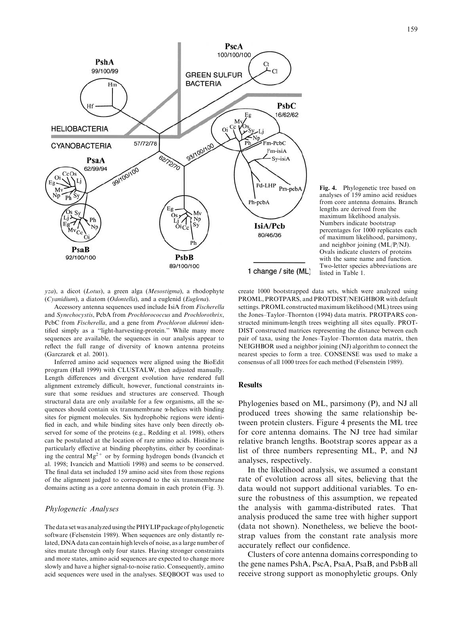

Fig. 4. Phylogenetic tree based on analyses of 159 amino acid residues from core antenna domains. Branch lengths are derived from the maximum likelihood analysis. Numbers indicate bootstrap percentages for 1000 replicates each of maximum likelihood, parsimony, and neighbor joining (ML/P/NJ). Ovals indicate clusters of proteins with the same name and function. Two-letter species abbreviations are listed in Table 1.

yza), a dicot (Lotus), a green alga (Mesostigma), a rhodophyte (Cyanidium), a diatom (Odontella), and a euglenid (Euglena).

Accessory antenna sequences used include IsiA from Fischerella and Synechocystis, PcbA from Prochlorococcus and Prochlorothrix, PcbC from Fischerella, and a gene from Prochloron didemni identified simply as a ''light-harvesting-protein.'' While many more sequences are available, the sequences in our analysis appear to reflect the full range of diversity of known antenna proteins (Garczarek et al. 2001).

Inferred amino acid sequences were aligned using the BioEdit program (Hall 1999) with CLUSTALW, then adjusted manually. Length differences and divergent evolution have rendered full alignment extremely difficult, however, functional constraints insure that some residues and structures are conserved. Though structural data are only available for a few organisms, all the sequences should contain six transmembrane a-helices with binding sites for pigment molecules. Six hydrophobic regions were identified in each, and while binding sites have only been directly observed for some of the proteins (e.g., Redding et al. 1998), others can be postulated at the location of rare amino acids. Histidine is particularly effective at binding pheophytins, either by coordinating the central  $Mg^{2+}$  or by forming hydrogen bonds (Ivancich et al. 1998; Ivancich and Mattioli 1998) and seems to be conserved. The final data set included 159 amino acid sites from those regions of the alignment judged to correspond to the six transmembrane domains acting as a core antenna domain in each protein (Fig. 3).

#### Phylogenetic Analyses

The data set was analyzed using the PHYLIP package of phylogenetic software (Felsenstein 1989). When sequences are only distantly related, DNA data can contain high levels of noise, as a large number of sites mutate through only four states. Having stronger constraints and more states, amino acid sequences are expected to change more slowly and have a higher signal-to-noise ratio. Consequently, amino acid sequences were used in the analyses. SEQBOOT was used to

create 1000 bootstrapped data sets, which were analyzed using PROML, PROTPARS, and PROTDIST/NEIGHBOR with default settings. PROML constructed maximum likelihood (ML) trees using the Jones–Taylor–Thornton (1994) data matrix. PROTPARS constructed minimum-length trees weighting all sites equally. PROT-DIST constructed matrices representing the distance between each pair of taxa, using the Jones–Taylor–Thornton data matrix, then NEIGHBOR used a neighbor joining (NJ) algorithm to connect the nearest species to form a tree. CONSENSE was used to make a consensus of all 1000 trees for each method (Felsenstein 1989).

### Results

Phylogenies based on ML, parsimony (P), and NJ all produced trees showing the same relationship between protein clusters. Figure 4 presents the ML tree for core antenna domains. The NJ tree had similar relative branch lengths. Bootstrap scores appear as a list of three numbers representing ML, P, and NJ analyses, respectively.

In the likelihood analysis, we assumed a constant rate of evolution across all sites, believing that the data would not support additional variables. To ensure the robustness of this assumption, we repeated the analysis with gamma-distributed rates. That analysis produced the same tree with higher support (data not shown). Nonetheless, we believe the bootstrap values from the constant rate analysis more accurately reflect our confidence.

Clusters of core antenna domains corresponding to the gene names PshA, PscA, PsaA, PsaB, and PsbB all receive strong support as monophyletic groups. Only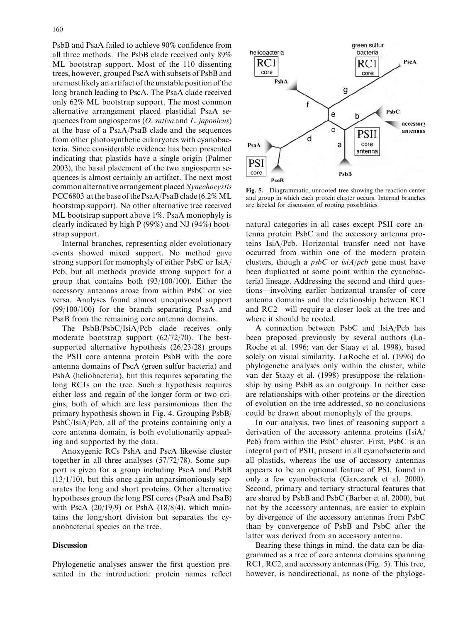PsbB and PsaA failed to achieve 90% confidence from all three methods. The PsbB clade received only 89% ML bootstrap support. Most of the 110 dissenting trees, however, grouped PscA with subsets of PsbB and are most likely an artifact of the unstable position of the long branch leading to PscA. The PsaA clade received only 62% ML bootstrap support. The most common alternative arrangement placed plastidial PsaA sequences from angiosperms  $(O. sativa$  and  $L. japonicus)$ at the base of a PsaA/PsaB clade and the sequences from other photosynthetic eukaryotes with cyanobacteria. Since considerable evidence has been presented indicating that plastids have a single origin (Palmer 2003), the basal placement of the two angiosperm sequences is almost certainly an artifact. The next most common alternative arrangement placed Synechocystis PCC6803 at the base of the PsaA/PsaB clade (6.2% ML bootstrap support). No other alternative tree received ML bootstrap support above 1%. PsaA monophyly is clearly indicated by high P (99%) and NJ (94%) bootstrap support.

Internal branches, representing older evolutionary events showed mixed support. No method gave strong support for monophyly of either PsbC or IsiA/ Pcb, but all methods provide strong support for a group that contains both (93/100/100). Either the accessory antennas arose from within PsbC or vice versa. Analyses found almost unequivocal support (99/100/100) for the branch separating PsaA and PsaB from the remaining core antenna domains.

The PsbB/PsbC/IsiA/Pcb clade receives only moderate bootstrap support (62/72/70). The bestsupported alternative hypothesis (26/23/28) groups the PSII core antenna protein PsbB with the core antenna domains of PscA (green sulfur bacteria) and PshA (heliobacteria), but this requires separating the long RC1s on the tree. Such a hypothesis requires either loss and regain of the longer form or two origins, both of which are less parsimonious then the primary hypothesis shown in Fig. 4. Grouping PsbB/ PsbC/IsiA/Pcb, all of the proteins containing only a core antenna domain, is both evolutionarily appealing and supported by the data.

Anoxygenic RCs PshA and PscA likewise cluster together in all three analyses (57/72/78). Some support is given for a group including PscA and PsbB  $(13/1/10)$ , but this once again unparsimoniously separates the long and short proteins. Other alternative hypotheses group the long PSI cores (PsaA and PsaB) with PscA  $(20/19/9)$  or PshA  $(18/8/4)$ , which maintains the long/short division but separates the cyanobacterial species on the tree.

# **Discussion**

Phylogenetic analyses answer the first question presented in the introduction: protein names reflect



Fig. 5. Diagrammatic, unrooted tree showing the reaction center and group in which each protein cluster occurs. Internal branches are labeled for discussion of rooting possibilities.

natural categories in all cases except PSII core antenna protein PsbC and the accessory antenna proteins IsiA/Pcb. Horizontal transfer need not have occurred from within one of the modern protein clusters, though a  $psbC$  or  $isiA/pcb$  gene must have been duplicated at some point within the cyanobacterial lineage. Addressing the second and third questions—involving earlier horizontal transfer of core antenna domains and the relationship between RC1 and RC2—will require a closer look at the tree and where it should be rooted.

A connection between PsbC and IsiA/Pcb has been proposed previously by several authors (La-Roche et al. 1996; van der Staay et al. 1998), based solely on visual similarity. LaRoche et al. (1996) do phylogenetic analyses only within the cluster, while van der Staay et al. (1998) presuppose the relationship by using PsbB as an outgroup. In neither case are relationships with other proteins or the direction of evolution on the tree addressed, so no conclusions could be drawn about monophyly of the groups.

In our analysis, two lines of reasoning support a derivation of the accessory antenna proteins (IsiA/ Pcb) from within the PsbC cluster. First, PsbC is an integral part of PSII, present in all cyanobacteria and all plastids, whereas the use of accessory antennas appears to be an optional feature of PSI, found in only a few cyanobacteria (Garczarek et al. 2000). Second, primary and tertiary structural features that are shared by PsbB and PsbC (Barber et al. 2000), but not by the accessory antennas, are easier to explain by divergence of the accessory antennas from PsbC than by convergence of PsbB and PsbC after the latter was derived from an accessory antenna.

Bearing these things in mind, the data can be diagrammed as a tree of core antenna domains spanning RC1, RC2, and accessory antennas (Fig. 5). This tree, however, is nondirectional, as none of the phyloge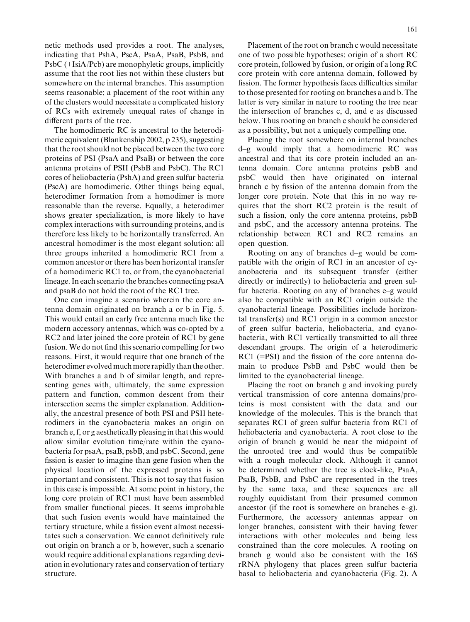netic methods used provides a root. The analyses, indicating that PshA, PscA, PsaA, PsaB, PsbB, and PsbC (+IsiA/Pcb) are monophyletic groups, implicitly assume that the root lies not within these clusters but somewhere on the internal branches. This assumption seems reasonable; a placement of the root within any of the clusters would necessitate a complicated history of RCs with extremely unequal rates of change in different parts of the tree.

The homodimeric RC is ancestral to the heterodimeric equivalent (Blankenship 2002, p 235), suggesting that the root should not be placed between the two core proteins of PSI (PsaA and PsaB) or between the core antenna proteins of PSII (PsbB and PsbC). The RC1 cores of heliobacteria (PshA) and green sulfur bacteria (PscA) are homodimeric. Other things being equal, heterodimer formation from a homodimer is more reasonable than the reverse. Equally, a heterodimer shows greater specialization, is more likely to have complex interactions with surrounding proteins, and is therefore less likely to be horizontally transferred. An ancestral homodimer is the most elegant solution: all three groups inherited a homodimeric RC1 from a common ancestor or there has been horizontal transfer of a homodimeric RC1 to, or from, the cyanobacterial lineage. In each scenario the branches connecting psaA and psaB do not hold the root of the RC1 tree.

One can imagine a scenario wherein the core antenna domain originated on branch a or b in Fig. 5. This would entail an early free antenna much like the modern accessory antennas, which was co-opted by a RC2 and later joined the core protein of RC1 by gene fusion. We do not find this scenario compelling for two reasons. First, it would require that one branch of the heterodimer evolved much more rapidly than the other. With branches a and b of similar length, and representing genes with, ultimately, the same expression pattern and function, common descent from their intersection seems the simpler explanation. Additionally, the ancestral presence of both PSI and PSII heterodimers in the cyanobacteria makes an origin on branch e, f, or g aesthetically pleasing in that this would allow similar evolution time/rate within the cyanobacteria for psaA, psaB, psbB, and psbC. Second, gene fission is easier to imagine than gene fusion when the physical location of the expressed proteins is so important and consistent. This is not to say that fusion in this case is impossible. At some point in history, the long core protein of RC1 must have been assembled from smaller functional pieces. It seems improbable that such fusion events would have maintained the tertiary structure, while a fission event almost necessitates such a conservation. We cannot definitively rule out origin on branch a or b, however, such a scenario would require additional explanations regarding deviation in evolutionary rates and conservation of tertiary structure.

Placement of the root on branch c would necessitate one of two possible hypotheses: origin of a short RC core protein, followed by fusion, or origin of a long RC core protein with core antenna domain, followed by fission. The former hypothesis faces difficulties similar to those presented for rooting on branches a and b. The latter is very similar in nature to rooting the tree near the intersection of branches c, d, and e as discussed below. Thus rooting on branch c should be considered as a possibility, but not a uniquely compelling one.

Placing the root somewhere on internal branches d–g would imply that a homodimeric RC was ancestral and that its core protein included an antenna domain. Core antenna proteins psbB and psbC would then have originated on internal branch c by fission of the antenna domain from the longer core protein. Note that this in no way requires that the short RC2 protein is the result of such a fission, only the core antenna proteins, psbB and psbC, and the accessory antenna proteins. The relationship between RC1 and RC2 remains an open question.

Rooting on any of branches d–g would be compatible with the origin of RC1 in an ancestor of cyanobacteria and its subsequent transfer (either directly or indirectly) to heliobacteria and green sulfur bacteria. Rooting on any of branches e–g would also be compatible with an RC1 origin outside the cyanobacterial lineage. Possibilities include horizontal transfer(s) and RC1origin in a common ancestor of green sulfur bacteria, heliobacteria, and cyanobacteria, with RC1 vertically transmitted to all three descendant groups. The origin of a heterodimeric RC1 (=PSI) and the fission of the core antenna domain to produce PsbB and PsbC would then be limited to the cyanobacterial lineage.

Placing the root on branch g and invoking purely vertical transmission of core antenna domains/proteins is most consistent with the data and our knowledge of the molecules. This is the branch that separates RC1 of green sulfur bacteria from RC1 of heliobacteria and cyanobacteria. A root close to the origin of branch g would be near the midpoint of the unrooted tree and would thus be compatible with a rough molecular clock. Although it cannot be determined whether the tree is clock-like, PsaA, PsaB, PsbB, and PsbC are represented in the trees by the same taxa, and these sequences are all roughly equidistant from their presumed common ancestor (if the root is somewhere on branches e–g). Furthermore, the accessory antennas appear on longer branches, consistent with their having fewer interactions with other molecules and being less constrained than the core molecules. A rooting on branch g would also be consistent with the 16S rRNA phylogeny that places green sulfur bacteria basal to heliobacteria and cyanobacteria (Fig. 2). A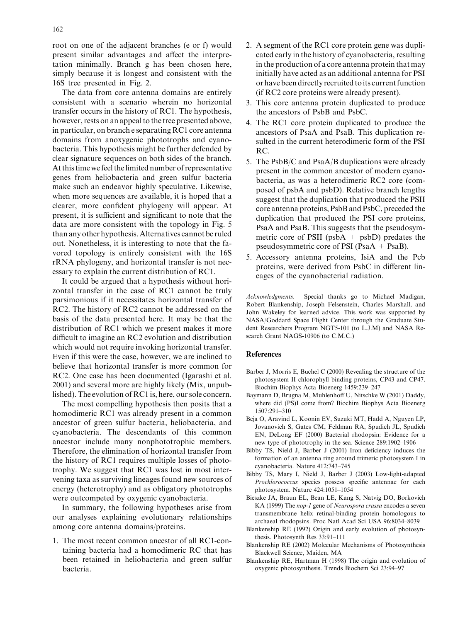root on one of the adjacent branches (e or f) would present similar advantages and affect the interpretation minimally. Branch g has been chosen here, simply because it is longest and consistent with the 16S tree presented in Fig. 2.

The data from core antenna domains are entirely consistent with a scenario wherein no horizontal transfer occurs in the history of RC1. The hypothesis, however, rests on an appeal to the tree presented above, in particular, on branch e separating RC1 core antenna domains from anoxygenic phototrophs and cyanobacteria. This hypothesis might be further defended by clear signature sequences on both sides of the branch. At this time we feel the limited number of representative genes from heliobacteria and green sulfur bacteria make such an endeavor highly speculative. Likewise, when more sequences are available, it is hoped that a clearer, more confident phylogeny will appear. At present, it is sufficient and significant to note that the data are more consistent with the topology in Fig. 5 than any other hypothesis. Alternatives cannot be ruled out. Nonetheless, it is interesting to note that the favored topology is entirely consistent with the 16S rRNA phylogeny, and horizontal transfer is not necessary to explain the current distribution of RC1.

It could be argued that a hypothesis without horizontal transfer in the case of RC1 cannot be truly parsimonious if it necessitates horizontal transfer of RC2. The history of RC2 cannot be addressed on the basis of the data presented here. It may be that the distribution of RC1which we present makes it more difficult to imagine an RC2 evolution and distribution which would not require invoking horizontal transfer. Even if this were the case, however, we are inclined to believe that horizontal transfer is more common for RC2. One case has been documented (Igarashi et al. 2001) and several more are highly likely (Mix, unpublished). The evolution of RC1 is, here, our sole concern.

The most compelling hypothesis then posits that a homodimeric RC1 was already present in a common ancestor of green sulfur bacteria, heliobacteria, and cyanobacteria. The descendants of this common ancestor include many nonphototrophic members. Therefore, the elimination of horizontal transfer from the history of RC1 requires multiple losses of phototrophy. We suggest that RC1was lost in most intervening taxa as surviving lineages found new sources of energy (heterotrophy) and as obligatory phototrophs were outcompeted by oxygenic cyanobacteria.

In summary, the following hypotheses arise from our analyses explaining evolutionary relationships among core antenna domains/proteins.

1. The most recent common ancestor of all RC1-containing bacteria had a homodimeric RC that has been retained in heliobacteria and green sulfur bacteria.

- 2. A segment of the RC1 core protein gene was duplicated early in the history of cyanobacteria, resulting in the production of a core antenna protein that may initially have acted as an additional antenna for PSI or have been directly recruited toits current function (if RC2 core proteins were already present).
- 3. This core antenna protein duplicated to produce the ancestors of PsbB and PsbC.
- 4. The RC1 core protein duplicated to produce the ancestors of PsaA and PsaB. This duplication resulted in the current heterodimeric form of the PSI RC.
- 5. The PsbB/C and PsaA/B duplications were already present in the common ancestor of modern cyanobacteria, as was a heterodimeric RC2 core (composed of psbA and psbD). Relative branch lengths suggest that the duplication that produced the PSII core antenna proteins, PsbB and PsbC, preceded the duplication that produced the PSI core proteins, PsaA and PsaB. This suggests that the pseudosymmetric core of PSII ( $psbA + psbD$ ) predates the pseudosymmetric core of PSI (PsaA + PsaB).
- 5. Accessory antenna proteins, IsiA and the Pcb proteins, were derived from PsbC in different lineages of the cyanobacterial radiation.

Acknowledgments. Special thanks go to Michael Madigan, Robert Blankenship, Joseph Felsenstein, Charles Marshall, and John Wakeley for learned advice. This work was supported by NASA/Goddard Space Flight Center through the Graduate Student Researchers Program NGT5-101 (to L.J.M) and NASA Research Grant NAGS-10906 (to C.M.C.)

# References

- Barber J, Morris E, Buchel C (2000) Revealing the structure of the photosystem II chlorophyll binding proteins, CP43 and CP47. Biochim Biophys Acta Bioenerg 1459:239–247
- Baymann D, Brugna M, Muhlenhoff U, Nitschke W (2001) Daddy, where did (PS)I come from? Biochim Biophys Acta Bioenerg 1507:291–310
- Beja O, Aravind L, Koonin EV, Suzuki MT, Hadd A, Nguyen LP, Jovanovich S, Gates CM, Feldman RA, Spudich JL, Spudich EN, DeLong EF (2000) Bacterial rhodopsin: Evidence for a new type of phototrophy in the sea. Science 289:1902–1906
- Bibby TS, Nield J, Barber J (2001) Iron deficiency induces the formation of an antenna ring around trimeric photosystem I in cyanobacteria. Nature 412:743–745
- Bibby TS, Mary I, Nield J, Barber J (2003) Low-light-adapted Prochlorococcus species possess specific antennae for each photosystem. Nature 424:1051–1054
- Bieszke JA, Braun EL, Bean LE, Kang S, Natvig DO, Borkovich KA (1999) The nop-1 gene of Neurospora crassa encodes a seven transmembrane helix retinal-binding protein homologous to archaeal rhodopsins. Proc Natl Acad Sci USA 96:8034–8039
- Blankenship RE (1992) Origin and early evolution of photosynthesis. Photosynth Res 33:91–111
- Blankenship RE (2002) Molecular Mechanisms of Photosynthesis Blackwell Science, Maiden, MA
- Blankenship RE, Hartman H (1998) The origin and evolution of oxygenic photosynthesis. Trends Biochem Sci 23:94–97